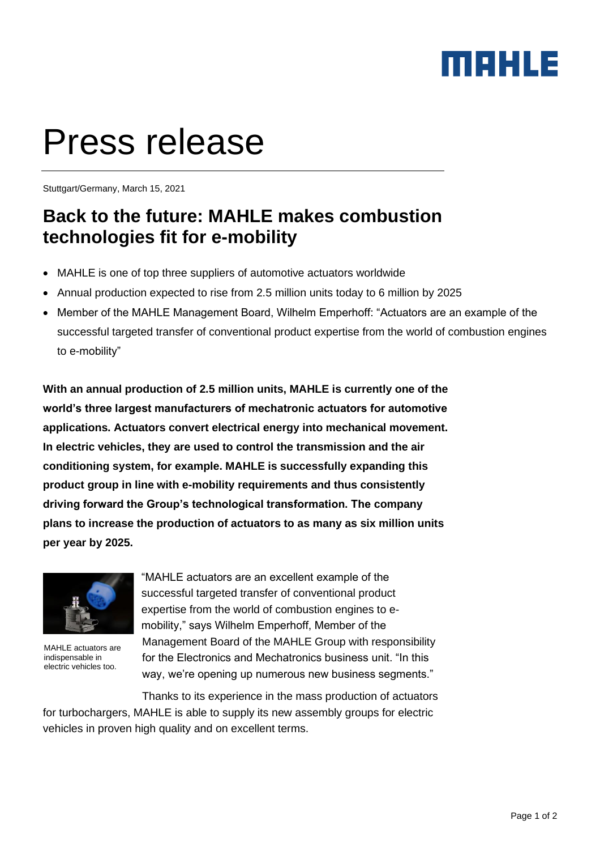## maxua

# Press release

Stuttgart/Germany, March 15, 2021

## **Back to the future: MAHLE makes combustion technologies fit for e-mobility**

- MAHLE is one of top three suppliers of automotive actuators worldwide
- Annual production expected to rise from 2.5 million units today to 6 million by 2025
- Member of the MAHLE Management Board, Wilhelm Emperhoff: "Actuators are an example of the successful targeted transfer of conventional product expertise from the world of combustion engines to e-mobility"

**With an annual production of 2.5 million units, MAHLE is currently one of the world's three largest manufacturers of mechatronic actuators for automotive applications. Actuators convert electrical energy into mechanical movement. In electric vehicles, they are used to control the transmission and the air conditioning system, for example. MAHLE is successfully expanding this product group in line with e-mobility requirements and thus consistently driving forward the Group's technological transformation. The company plans to increase the production of actuators to as many as six million units per year by 2025.** 



MAHLE actuators are indispensable in electric vehicles too.

"MAHLE actuators are an excellent example of the successful targeted transfer of conventional product expertise from the world of combustion engines to emobility," says Wilhelm Emperhoff, Member of the Management Board of the MAHLE Group with responsibility for the Electronics and Mechatronics business unit. "In this way, we're opening up numerous new business segments."

Thanks to its experience in the mass production of actuators for turbochargers, MAHLE is able to supply its new assembly groups for electric vehicles in proven high quality and on excellent terms.